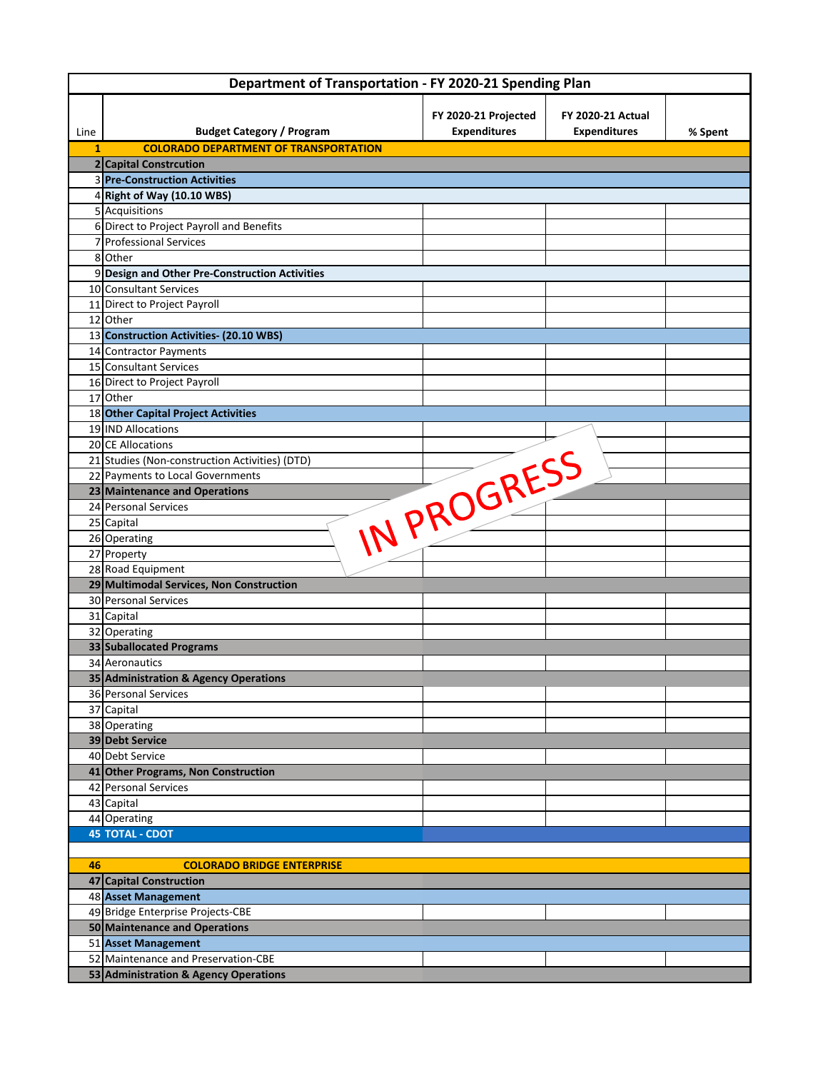| Department of Transportation - FY 2020-21 Spending Plan |                                                |                                             |                                                 |         |  |  |  |
|---------------------------------------------------------|------------------------------------------------|---------------------------------------------|-------------------------------------------------|---------|--|--|--|
| Line                                                    | <b>Budget Category / Program</b>               | FY 2020-21 Projected<br><b>Expenditures</b> | <b>FY 2020-21 Actual</b><br><b>Expenditures</b> | % Spent |  |  |  |
| 1                                                       | <b>COLORADO DEPARTMENT OF TRANSPORTATION</b>   |                                             |                                                 |         |  |  |  |
|                                                         | 2 Capital Constrcution                         |                                             |                                                 |         |  |  |  |
|                                                         | 3 Pre-Construction Activities                  |                                             |                                                 |         |  |  |  |
|                                                         | 4 Right of Way (10.10 WBS)                     |                                             |                                                 |         |  |  |  |
|                                                         | 5 Acquisitions                                 |                                             |                                                 |         |  |  |  |
|                                                         | 6 Direct to Project Payroll and Benefits       |                                             |                                                 |         |  |  |  |
|                                                         | 7 Professional Services                        |                                             |                                                 |         |  |  |  |
|                                                         | 8 Other                                        |                                             |                                                 |         |  |  |  |
|                                                         | 9 Design and Other Pre-Construction Activities |                                             |                                                 |         |  |  |  |
|                                                         | 10 Consultant Services                         |                                             |                                                 |         |  |  |  |
|                                                         | 11 Direct to Project Payroll                   |                                             |                                                 |         |  |  |  |
|                                                         | 12 Other                                       |                                             |                                                 |         |  |  |  |
|                                                         | 13 Construction Activities- (20.10 WBS)        |                                             |                                                 |         |  |  |  |
|                                                         | 14 Contractor Payments                         |                                             |                                                 |         |  |  |  |
|                                                         | 15 Consultant Services                         |                                             |                                                 |         |  |  |  |
|                                                         | 16 Direct to Project Payroll                   |                                             |                                                 |         |  |  |  |
|                                                         | 17 Other                                       |                                             |                                                 |         |  |  |  |
|                                                         | 18 Other Capital Project Activities            |                                             |                                                 |         |  |  |  |
|                                                         | 19 IND Allocations                             |                                             |                                                 |         |  |  |  |
|                                                         | 20 CE Allocations                              |                                             |                                                 |         |  |  |  |
|                                                         | 21 Studies (Non-construction Activities) (DTD) |                                             |                                                 |         |  |  |  |
|                                                         | 22 Payments to Local Governments               |                                             |                                                 |         |  |  |  |
|                                                         | 23 Maintenance and Operations                  |                                             |                                                 |         |  |  |  |
|                                                         | 24 Personal Services                           | IN PROGRESS                                 |                                                 |         |  |  |  |
|                                                         | 25 Capital                                     |                                             |                                                 |         |  |  |  |
|                                                         | 26 Operating<br>27 Property                    |                                             |                                                 |         |  |  |  |
|                                                         | 28 Road Equipment                              |                                             |                                                 |         |  |  |  |
|                                                         | 29 Multimodal Services, Non Construction       |                                             |                                                 |         |  |  |  |
|                                                         | 30 Personal Services                           |                                             |                                                 |         |  |  |  |
|                                                         | 31 Capital                                     |                                             |                                                 |         |  |  |  |
|                                                         | 32 Operating                                   |                                             |                                                 |         |  |  |  |
|                                                         | 33 Suballocated Programs                       |                                             |                                                 |         |  |  |  |
|                                                         | 34 Aeronautics                                 |                                             |                                                 |         |  |  |  |
|                                                         | 35 Administration & Agency Operations          |                                             |                                                 |         |  |  |  |
|                                                         | 36 Personal Services                           |                                             |                                                 |         |  |  |  |
|                                                         | 37 Capital                                     |                                             |                                                 |         |  |  |  |
|                                                         | 38 Operating                                   |                                             |                                                 |         |  |  |  |
|                                                         | 39 Debt Service                                |                                             |                                                 |         |  |  |  |
|                                                         | 40 Debt Service                                |                                             |                                                 |         |  |  |  |
|                                                         | 41 Other Programs, Non Construction            |                                             |                                                 |         |  |  |  |
|                                                         | 42 Personal Services                           |                                             |                                                 |         |  |  |  |
|                                                         | 43 Capital                                     |                                             |                                                 |         |  |  |  |
|                                                         | 44 Operating                                   |                                             |                                                 |         |  |  |  |
|                                                         | <b>45 TOTAL - CDOT</b>                         |                                             |                                                 |         |  |  |  |
| 46                                                      | <b>COLORADO BRIDGE ENTERPRISE</b>              |                                             |                                                 |         |  |  |  |
|                                                         | 47 Capital Construction                        |                                             |                                                 |         |  |  |  |
|                                                         | 48 Asset Management                            |                                             |                                                 |         |  |  |  |
|                                                         | 49 Bridge Enterprise Projects-CBE              |                                             |                                                 |         |  |  |  |
|                                                         | 50 Maintenance and Operations                  |                                             |                                                 |         |  |  |  |
|                                                         | 51 Asset Management                            |                                             |                                                 |         |  |  |  |
|                                                         | 52 Maintenance and Preservation-CBE            |                                             |                                                 |         |  |  |  |
|                                                         | 53 Administration & Agency Operations          |                                             |                                                 |         |  |  |  |